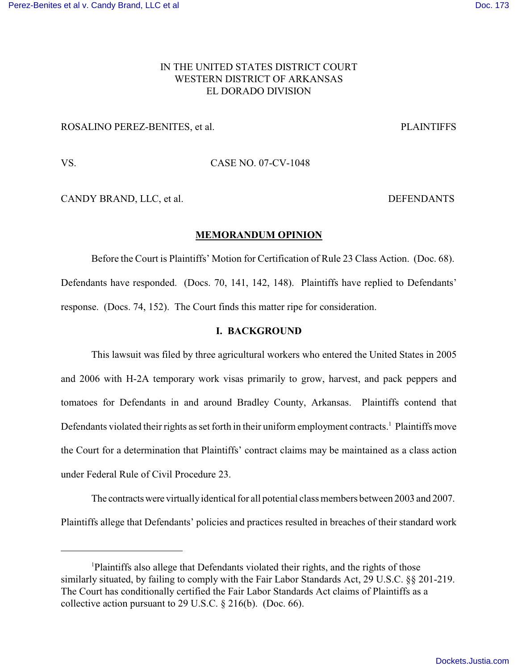# IN THE UNITED STATES DISTRICT COURT WESTERN DISTRICT OF ARKANSAS EL DORADO DIVISION

## ROSALINO PEREZ-BENITES, et al. PLAINTIFFS

VS. CASE NO. 07-CV-1048

CANDY BRAND, LLC, et al. DEFENDANTS

### **MEMORANDUM OPINION**

Before the Court is Plaintiffs' Motion for Certification of Rule 23 Class Action. (Doc. 68). Defendants have responded. (Docs. 70, 141, 142, 148). Plaintiffs have replied to Defendants' response. (Docs. 74, 152). The Court finds this matter ripe for consideration.

## **I. BACKGROUND**

This lawsuit was filed by three agricultural workers who entered the United States in 2005 and 2006 with H-2A temporary work visas primarily to grow, harvest, and pack peppers and tomatoes for Defendants in and around Bradley County, Arkansas. Plaintiffs contend that Defendants violated their rights as set forth in their uniform employment contracts.<sup>1</sup> Plaintiffs move the Court for a determination that Plaintiffs' contract claims may be maintained as a class action under Federal Rule of Civil Procedure 23.

The contractswere virtuallyidentical for all potential class members between 2003 and 2007. Plaintiffs allege that Defendants' policies and practices resulted in breaches of their standard work

Plaintiffs also allege that Defendants violated their rights, and the rights of those <sup>1</sup> similarly situated, by failing to comply with the Fair Labor Standards Act, 29 U.S.C. §§ 201-219. The Court has conditionally certified the Fair Labor Standards Act claims of Plaintiffs as a collective action pursuant to 29 U.S.C. § 216(b). (Doc. 66).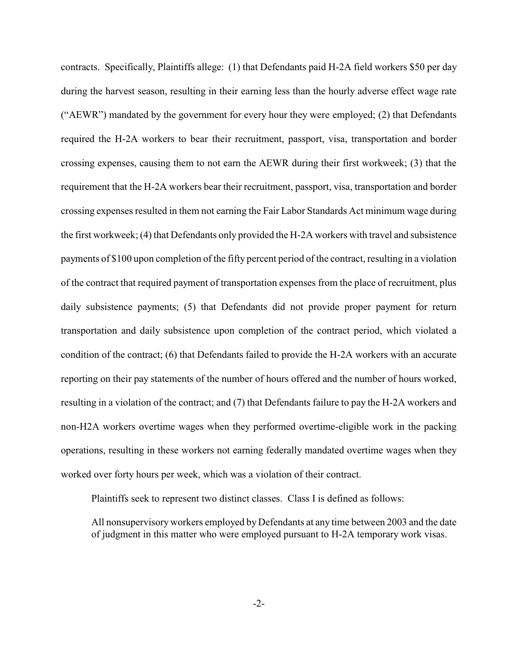contracts. Specifically, Plaintiffs allege: (1) that Defendants paid H-2A field workers \$50 per day during the harvest season, resulting in their earning less than the hourly adverse effect wage rate ("AEWR") mandated by the government for every hour they were employed; (2) that Defendants required the H-2A workers to bear their recruitment, passport, visa, transportation and border crossing expenses, causing them to not earn the AEWR during their first workweek; (3) that the requirement that the H-2A workers bear their recruitment, passport, visa, transportation and border crossing expenses resulted in them not earning the Fair Labor Standards Act minimum wage during the first workweek; (4) that Defendants only provided the H-2A workers with travel and subsistence payments of \$100 upon completion of the fifty percent period of the contract, resulting in a violation of the contract that required payment of transportation expenses from the place of recruitment, plus daily subsistence payments; (5) that Defendants did not provide proper payment for return transportation and daily subsistence upon completion of the contract period, which violated a condition of the contract; (6) that Defendants failed to provide the H-2A workers with an accurate reporting on their pay statements of the number of hours offered and the number of hours worked, resulting in a violation of the contract; and (7) that Defendants failure to pay the H-2A workers and non-H2A workers overtime wages when they performed overtime-eligible work in the packing operations, resulting in these workers not earning federally mandated overtime wages when they worked over forty hours per week, which was a violation of their contract.

Plaintiffs seek to represent two distinct classes. Class I is defined as follows:

All nonsupervisory workers employed by Defendants at any time between 2003 and the date of judgment in this matter who were employed pursuant to H-2A temporary work visas.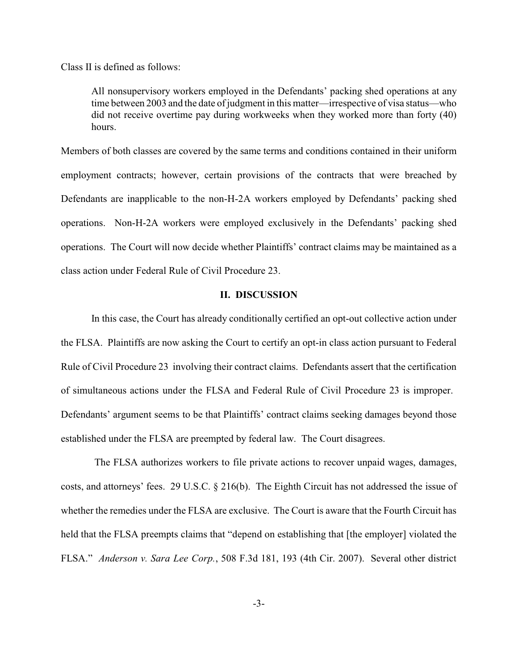Class II is defined as follows:

All nonsupervisory workers employed in the Defendants' packing shed operations at any time between 2003 and the date of judgment in this matter—irrespective of visa status—who did not receive overtime pay during workweeks when they worked more than forty (40) hours.

Members of both classes are covered by the same terms and conditions contained in their uniform employment contracts; however, certain provisions of the contracts that were breached by Defendants are inapplicable to the non-H-2A workers employed by Defendants' packing shed operations. Non-H-2A workers were employed exclusively in the Defendants' packing shed operations. The Court will now decide whether Plaintiffs' contract claims may be maintained as a class action under Federal Rule of Civil Procedure 23.

## **II. DISCUSSION**

In this case, the Court has already conditionally certified an opt-out collective action under the FLSA. Plaintiffs are now asking the Court to certify an opt-in class action pursuant to Federal Rule of Civil Procedure 23 involving their contract claims. Defendants assert that the certification of simultaneous actions under the FLSA and Federal Rule of Civil Procedure 23 is improper. Defendants' argument seems to be that Plaintiffs' contract claims seeking damages beyond those established under the FLSA are preempted by federal law. The Court disagrees.

The FLSA authorizes workers to file private actions to recover unpaid wages, damages, costs, and attorneys' fees. 29 U.S.C. § 216(b). The Eighth Circuit has not addressed the issue of whether the remedies under the FLSA are exclusive. The Court is aware that the Fourth Circuit has held that the FLSA preempts claims that "depend on establishing that [the employer] violated the FLSA." *Anderson v. Sara Lee Corp.*, 508 F.3d 181, 193 (4th Cir. 2007). Several other district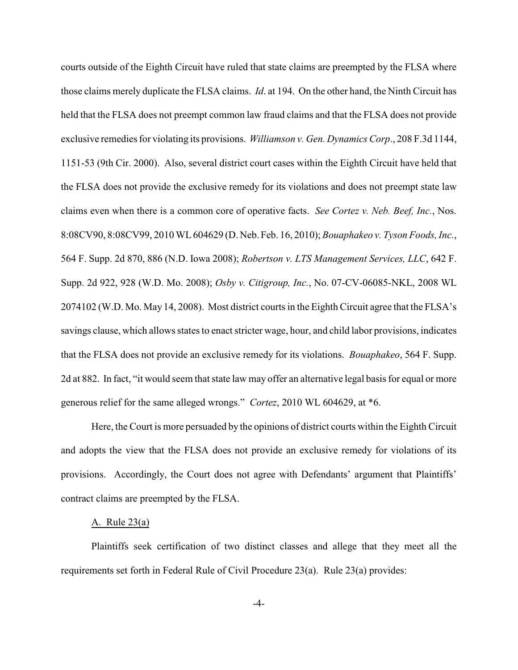courts outside of the Eighth Circuit have ruled that state claims are preempted by the FLSA where those claims merely duplicate the FLSA claims. *Id*. at 194. On the other hand, the Ninth Circuit has held that the FLSA does not preempt common law fraud claims and that the FLSA does not provide exclusive remedies for violating its provisions. *Williamson v. Gen. Dynamics Corp*., 208 F.3d 1144, 1151-53 (9th Cir. 2000). Also, several district court cases within the Eighth Circuit have held that the FLSA does not provide the exclusive remedy for its violations and does not preempt state law claims even when there is a common core of operative facts. *See Cortez v. Neb. Beef, Inc.*, Nos. 8:08CV90, 8:08CV99, 2010 WL604629 (D. Neb. Feb. 16, 2010); *Bouaphakeo v. Tyson Foods, Inc.*, 564 F. Supp. 2d 870, 886 (N.D. Iowa 2008); *Robertson v. LTS Management Services, LLC*, 642 F. Supp. 2d 922, 928 (W.D. Mo. 2008); *Osby v. Citigroup, Inc.*, No. 07-CV-06085-NKL, 2008 WL 2074102 (W.D. Mo. May 14, 2008). Most district courts in the Eighth Circuit agree that the FLSA's savings clause, which allows states to enact stricter wage, hour, and child labor provisions, indicates that the FLSA does not provide an exclusive remedy for its violations. *Bouaphakeo*, 564 F. Supp. 2d at 882. In fact, "it would seem that state law may offer an alternative legal basis for equal or more generous relief for the same alleged wrongs." *Cortez*, 2010 WL 604629, at \*6.

Here, the Court is more persuaded by the opinions of district courts within the Eighth Circuit and adopts the view that the FLSA does not provide an exclusive remedy for violations of its provisions. Accordingly, the Court does not agree with Defendants' argument that Plaintiffs' contract claims are preempted by the FLSA.

#### A. Rule 23(a)

Plaintiffs seek certification of two distinct classes and allege that they meet all the requirements set forth in Federal Rule of Civil Procedure 23(a). Rule 23(a) provides: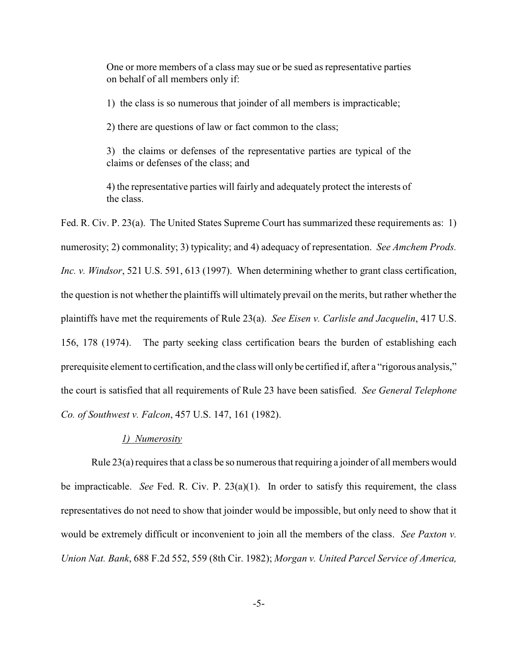One or more members of a class may sue or be sued as representative parties on behalf of all members only if:

1) the class is so numerous that joinder of all members is impracticable;

2) there are questions of law or fact common to the class;

3) the claims or defenses of the representative parties are typical of the claims or defenses of the class; and

4) the representative parties will fairly and adequately protect the interests of the class.

Fed. R. Civ. P. 23(a). The United States Supreme Court has summarized these requirements as: 1) numerosity; 2) commonality; 3) typicality; and 4) adequacy of representation. *See Amchem Prods. Inc. v. Windsor*, 521 U.S. 591, 613 (1997). When determining whether to grant class certification, the question is not whether the plaintiffs will ultimately prevail on the merits, but rather whether the plaintiffs have met the requirements of Rule 23(a). *See Eisen v. Carlisle and Jacquelin*, 417 U.S. 156, 178 (1974). The party seeking class certification bears the burden of establishing each prerequisite element to certification, and the class will only be certified if, after a "rigorous analysis," the court is satisfied that all requirements of Rule 23 have been satisfied. *See General Telephone Co. of Southwest v. Falcon*, 457 U.S. 147, 161 (1982).

### *1) Numerosity*

Rule  $23(a)$  requires that a class be so numerous that requiring a joinder of all members would be impracticable. *See* Fed. R. Civ. P. 23(a)(1). In order to satisfy this requirement, the class representatives do not need to show that joinder would be impossible, but only need to show that it would be extremely difficult or inconvenient to join all the members of the class. *See Paxton v. Union Nat. Bank*, 688 F.2d 552, 559 (8th Cir. 1982); *Morgan v. United Parcel Service of America,*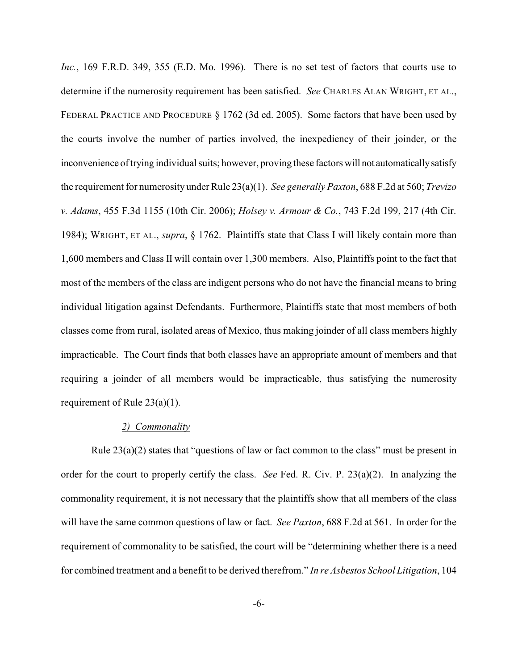Inc., 169 F.R.D. 349, 355 (E.D. Mo. 1996). There is no set test of factors that courts use to determine if the numerosity requirement has been satisfied. *See* CHARLES ALAN WRIGHT, ET AL., FEDERAL PRACTICE AND PROCEDURE § 1762 (3d ed. 2005). Some factors that have been used by the courts involve the number of parties involved, the inexpediency of their joinder, or the inconvenience of trying individual suits; however, proving these factors will not automaticallysatisfy the requirement for numerosity under Rule 23(a)(1). *See generally Paxton*, 688 F.2d at 560; *Trevizo v. Adams*, 455 F.3d 1155 (10th Cir. 2006); *Holsey v. Armour & Co.*, 743 F.2d 199, 217 (4th Cir. 1984); WRIGHT, ET AL., *supra*, § 1762. Plaintiffs state that Class I will likely contain more than 1,600 members and Class II will contain over 1,300 members. Also, Plaintiffs point to the fact that most of the members of the class are indigent persons who do not have the financial means to bring individual litigation against Defendants. Furthermore, Plaintiffs state that most members of both classes come from rural, isolated areas of Mexico, thus making joinder of all class members highly impracticable. The Court finds that both classes have an appropriate amount of members and that requiring a joinder of all members would be impracticable, thus satisfying the numerosity requirement of Rule 23(a)(1).

#### *2) Commonality*

Rule 23(a)(2) states that "questions of law or fact common to the class" must be present in order for the court to properly certify the class. *See* Fed. R. Civ. P. 23(a)(2). In analyzing the commonality requirement, it is not necessary that the plaintiffs show that all members of the class will have the same common questions of law or fact. *See Paxton*, 688 F.2d at 561. In order for the requirement of commonality to be satisfied, the court will be "determining whether there is a need for combined treatment and a benefit to be derived therefrom." *In re Asbestos School Litigation*, 104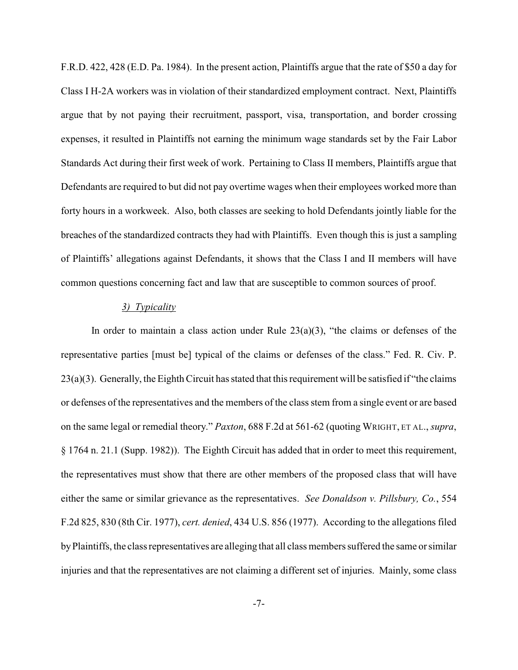F.R.D. 422, 428 (E.D. Pa. 1984). In the present action, Plaintiffs argue that the rate of \$50 a day for Class I H-2A workers was in violation of their standardized employment contract. Next, Plaintiffs argue that by not paying their recruitment, passport, visa, transportation, and border crossing expenses, it resulted in Plaintiffs not earning the minimum wage standards set by the Fair Labor Standards Act during their first week of work. Pertaining to Class II members, Plaintiffs argue that Defendants are required to but did not pay overtime wages when their employees worked more than forty hours in a workweek. Also, both classes are seeking to hold Defendants jointly liable for the breaches of the standardized contracts they had with Plaintiffs. Even though this is just a sampling of Plaintiffs' allegations against Defendants, it shows that the Class I and II members will have common questions concerning fact and law that are susceptible to common sources of proof.

## *3) Typicality*

In order to maintain a class action under Rule  $23(a)(3)$ , "the claims or defenses of the representative parties [must be] typical of the claims or defenses of the class." Fed. R. Civ. P. 23(a)(3). Generally, the Eighth Circuit has stated that this requirement will be satisfied if "the claims or defenses of the representatives and the members of the class stem from a single event or are based on the same legal or remedial theory." *Paxton*, 688 F.2d at 561-62 (quoting WRIGHT, ET AL., *supra*, § 1764 n. 21.1 (Supp. 1982)). The Eighth Circuit has added that in order to meet this requirement, the representatives must show that there are other members of the proposed class that will have either the same or similar grievance as the representatives. *See Donaldson v. Pillsbury, Co.*, 554 F.2d 825, 830 (8th Cir. 1977), *cert. denied*, 434 U.S. 856 (1977). According to the allegations filed byPlaintiffs, the class representatives are alleging that all class members suffered the same or similar injuries and that the representatives are not claiming a different set of injuries. Mainly, some class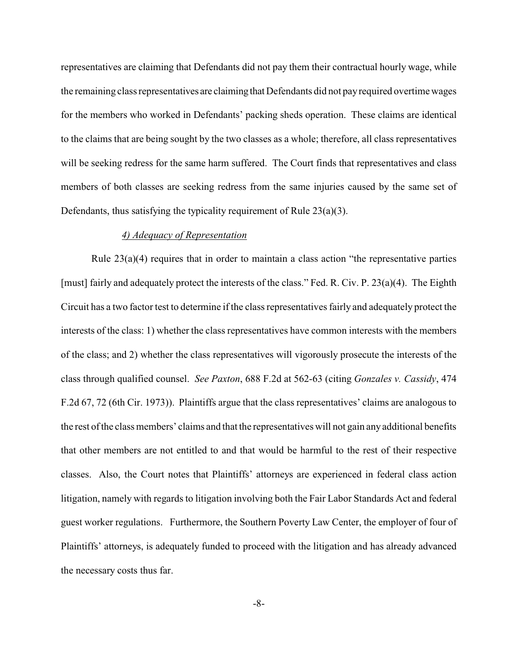representatives are claiming that Defendants did not pay them their contractual hourly wage, while the remaining class representatives are claiming that Defendants did not payrequired overtime wages for the members who worked in Defendants' packing sheds operation. These claims are identical to the claims that are being sought by the two classes as a whole; therefore, all class representatives will be seeking redress for the same harm suffered. The Court finds that representatives and class members of both classes are seeking redress from the same injuries caused by the same set of Defendants, thus satisfying the typicality requirement of Rule 23(a)(3).

### *4) Adequacy of Representation*

Rule  $23(a)(4)$  requires that in order to maintain a class action "the representative parties" [must] fairly and adequately protect the interests of the class." Fed. R. Civ. P. 23(a)(4). The Eighth Circuit has a two factor test to determine if the class representatives fairly and adequately protect the interests of the class: 1) whether the class representatives have common interests with the members of the class; and 2) whether the class representatives will vigorously prosecute the interests of the class through qualified counsel. *See Paxton*, 688 F.2d at 562-63 (citing *Gonzales v. Cassidy*, 474 F.2d 67, 72 (6th Cir. 1973)). Plaintiffs argue that the class representatives' claims are analogous to the rest of the class members' claims and that the representatives will not gain anyadditional benefits that other members are not entitled to and that would be harmful to the rest of their respective classes. Also, the Court notes that Plaintiffs' attorneys are experienced in federal class action litigation, namely with regards to litigation involving both the Fair Labor Standards Act and federal guest worker regulations. Furthermore, the Southern Poverty Law Center, the employer of four of Plaintiffs' attorneys, is adequately funded to proceed with the litigation and has already advanced the necessary costs thus far.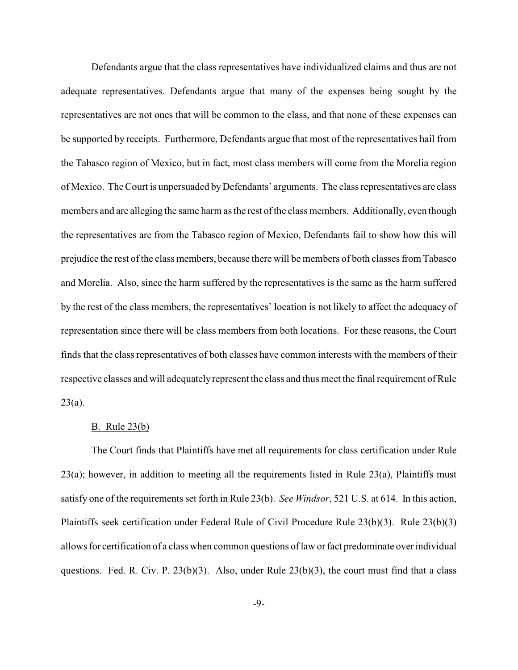Defendants argue that the class representatives have individualized claims and thus are not adequate representatives. Defendants argue that many of the expenses being sought by the representatives are not ones that will be common to the class, and that none of these expenses can be supported by receipts. Furthermore, Defendants argue that most of the representatives hail from the Tabasco region of Mexico, but in fact, most class members will come from the Morelia region of Mexico. The Court is unpersuaded byDefendants' arguments. The class representatives are class members and are alleging the same harm as the rest of the class members. Additionally, even though the representatives are from the Tabasco region of Mexico, Defendants fail to show how this will prejudice the rest of the class members, because there will be members of both classes from Tabasco and Morelia. Also, since the harm suffered by the representatives is the same as the harm suffered by the rest of the class members, the representatives' location is not likely to affect the adequacy of representation since there will be class members from both locations. For these reasons, the Court finds that the class representatives of both classes have common interests with the members of their respective classes and will adequatelyrepresent the class and thus meet the final requirement of Rule  $23(a)$ .

### B. Rule 23(b)

The Court finds that Plaintiffs have met all requirements for class certification under Rule 23(a); however, in addition to meeting all the requirements listed in Rule 23(a), Plaintiffs must satisfy one of the requirements set forth in Rule 23(b). *See Windsor*, 521 U.S. at 614. In this action, Plaintiffs seek certification under Federal Rule of Civil Procedure Rule 23(b)(3). Rule 23(b)(3) allows for certification of a class when common questions of law or fact predominate over individual questions. Fed. R. Civ. P.  $23(b)(3)$ . Also, under Rule  $23(b)(3)$ , the court must find that a class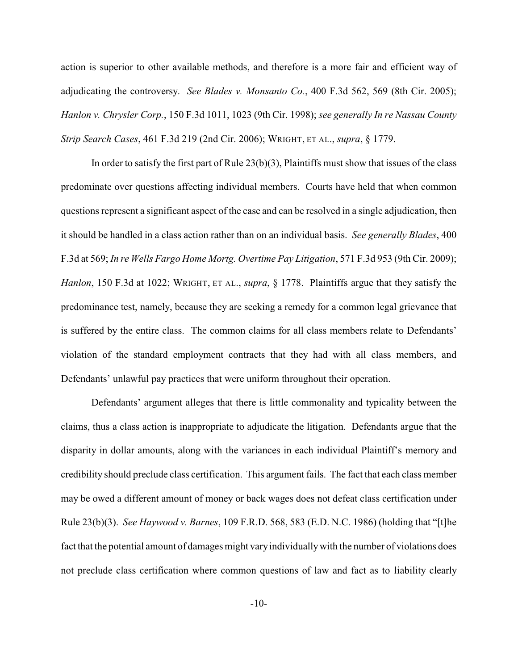action is superior to other available methods, and therefore is a more fair and efficient way of adjudicating the controversy. *See Blades v. Monsanto Co.*, 400 F.3d 562, 569 (8th Cir. 2005); *Hanlon v. Chrysler Corp.*, 150 F.3d 1011, 1023 (9th Cir. 1998); *see generally In re Nassau County Strip Search Cases*, 461 F.3d 219 (2nd Cir. 2006); WRIGHT, ET AL., *supra*, § 1779.

In order to satisfy the first part of Rule  $(23(b)(3))$ , Plaintiffs must show that issues of the class predominate over questions affecting individual members. Courts have held that when common questions represent a significant aspect of the case and can be resolved in a single adjudication, then it should be handled in a class action rather than on an individual basis. *See generally Blades*, 400 F.3d at 569; *In re Wells Fargo Home Mortg. Overtime Pay Litigation*, 571 F.3d 953 (9th Cir. 2009); *Hanlon*, 150 F.3d at 1022; WRIGHT, ET AL., *supra*, § 1778. Plaintiffs argue that they satisfy the predominance test, namely, because they are seeking a remedy for a common legal grievance that is suffered by the entire class. The common claims for all class members relate to Defendants' violation of the standard employment contracts that they had with all class members, and Defendants' unlawful pay practices that were uniform throughout their operation.

Defendants' argument alleges that there is little commonality and typicality between the claims, thus a class action is inappropriate to adjudicate the litigation. Defendants argue that the disparity in dollar amounts, along with the variances in each individual Plaintiff's memory and credibility should preclude class certification. This argument fails. The fact that each class member may be owed a different amount of money or back wages does not defeat class certification under Rule 23(b)(3). *See Haywood v. Barnes*, 109 F.R.D. 568, 583 (E.D. N.C. 1986) (holding that "[t]he fact that the potential amount of damages might varyindividuallywith the number of violations does not preclude class certification where common questions of law and fact as to liability clearly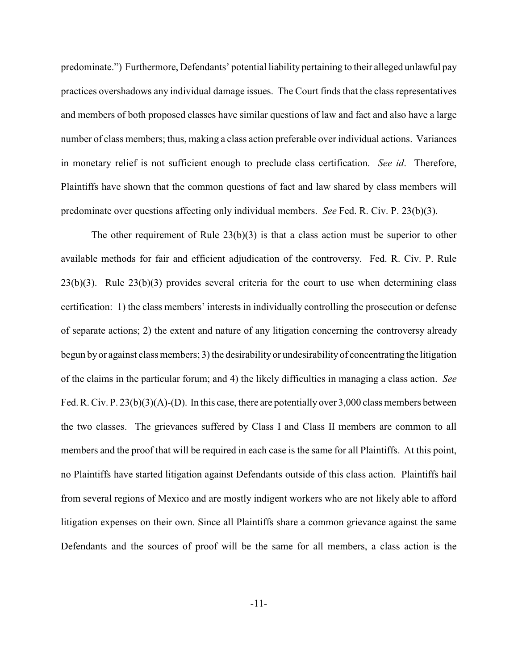predominate.") Furthermore, Defendants' potential liability pertaining to their alleged unlawful pay practices overshadows any individual damage issues. The Court finds that the class representatives and members of both proposed classes have similar questions of law and fact and also have a large number of class members; thus, making a class action preferable over individual actions. Variances in monetary relief is not sufficient enough to preclude class certification. *See id*. Therefore, Plaintiffs have shown that the common questions of fact and law shared by class members will predominate over questions affecting only individual members. *See* Fed. R. Civ. P. 23(b)(3).

The other requirement of Rule 23(b)(3) is that a class action must be superior to other available methods for fair and efficient adjudication of the controversy. Fed. R. Civ. P. Rule  $23(b)(3)$ . Rule  $23(b)(3)$  provides several criteria for the court to use when determining class certification: 1) the class members' interests in individually controlling the prosecution or defense of separate actions; 2) the extent and nature of any litigation concerning the controversy already begun byor against class members; 3) the desirability or undesirabilityof concentrating the litigation of the claims in the particular forum; and 4) the likely difficulties in managing a class action. *See* Fed. R. Civ. P. 23(b)(3)(A)-(D). In this case, there are potentially over 3,000 class members between the two classes. The grievances suffered by Class I and Class II members are common to all members and the proof that will be required in each case is the same for all Plaintiffs. At this point, no Plaintiffs have started litigation against Defendants outside of this class action. Plaintiffs hail from several regions of Mexico and are mostly indigent workers who are not likely able to afford litigation expenses on their own. Since all Plaintiffs share a common grievance against the same Defendants and the sources of proof will be the same for all members, a class action is the